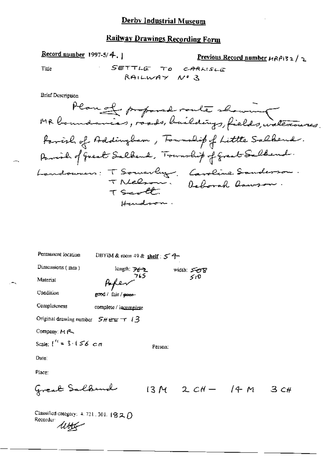Title

Previous Record number 
$$
\mu \beta \beta
$$

**Brief Description** 

Record number 1997-5/4.

| Permanent location                         | DBYIM & room 49 & shelf: 5 9-          |         |                    |    |
|--------------------------------------------|----------------------------------------|---------|--------------------|----|
| Dimensions (mm)                            | length: $\overline{P6}$ $\overline{2}$ |         | width: 508         |    |
| Material                                   | Paper <sup>765</sup>                   |         | 50                 |    |
| Condition                                  | good / fair / pner-                    |         |                    |    |
| Completeness                               | complete / incomplete                  |         |                    |    |
| Original drawing number $5$ H erg $\pm$ 13 |                                        |         |                    |    |
| Company: M <sub>1</sub> 2                  |                                        |         |                    |    |
| Scale: $\int_0^{t_1} = 3 \cdot 156$ c.m.   |                                        | Person: |                    |    |
| Date:                                      |                                        |         |                    |    |
| Place:                                     |                                        |         |                    |    |
| Great Salbend                              |                                        |         | $13M$ 2 $CH - 14M$ | 3c |
| $\mathcal{L}$                              |                                        |         |                    |    |

Classified category:  $4.721$ , 301,  $1820$ Recorder  $\mu_{\text{H}}$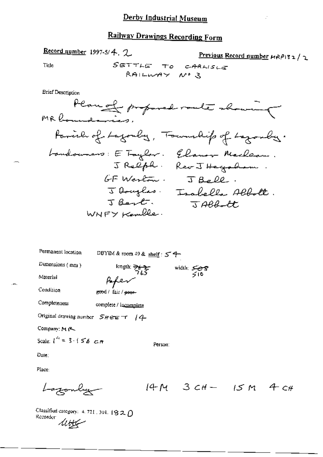Record number 1997-5/4. 2.

Previous Record number HRPI32/2

Title

**Brief Description** 

| Permanent location                                 | DBYIM & room 49 & shelf: $54$   |                        |
|----------------------------------------------------|---------------------------------|------------------------|
| Dimensions (mm)                                    | length: 262-                    | width: $5.8$<br>$5.10$ |
| Material                                           | Afer                            |                        |
| Condition                                          | good / fair / <del>poor</del> - |                        |
| Completeness                                       | complete / incomplete           |                        |
| Original drawing number $S$ <i>H</i> erg $\tau$ /4 |                                 |                        |
| Company: M (2                                      |                                 |                        |
| Scale: $l^4 = 3.156$ cm                            |                                 | Person:                |
| Date:                                              |                                 |                        |

Place:

$$
Logonly = 14M \cdot 3cH - 15M \cdot 4cH
$$

Classified category: 4, 721, 301, 1820 Classman.<br>Recorder  $\mathcal{U}_{\mathcal{L}}$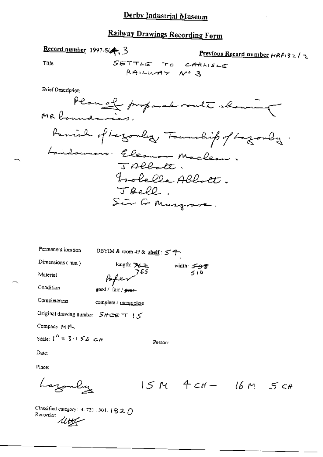### Derby Industrial Museum

## Railway Drawings Recording Form

Record number 1997-5/4, 3

Previous Record number HRPI32/2

Ñ

Title

**Brief Description** 

| Permanent location                         | DBYIM & room 49 & shelf : $54$ |         |            |  |
|--------------------------------------------|--------------------------------|---------|------------|--|
| Dimensions (mm)                            | length: $762$                  |         | width: 508 |  |
| Material                                   | Poper 765                      |         | 500        |  |
| Condition                                  | good / fair / peer-            |         |            |  |
| Completeness                               | complete / incomplete          |         |            |  |
| Original drawing number $SH \cong S^*$     |                                |         |            |  |
| Company: M (                               |                                |         |            |  |
| Scale: $1^{h}$ = 3.156 $\epsilon$ <i>n</i> |                                | Person: |            |  |
| Date:                                      |                                |         |            |  |
| Place:                                     |                                |         |            |  |
|                                            |                                |         |            |  |

Lazonby  $15M$   $4CH 16M$   $5CH$ 

Classified category: 4, 721, 301, 1820 Recorder:<br>Recorder: <del>Miller</del>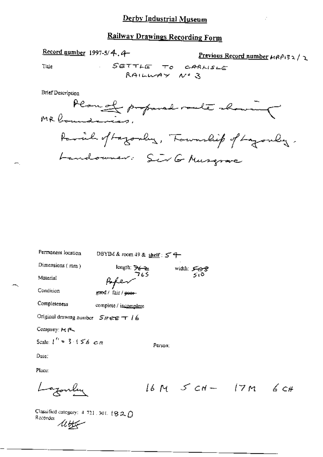Record number 1997-5/4.4-

Previous Record number 
$$
\mu \beta \beta
$$

 $\mathcal{I}$ 

Title

**Brief Description** 

| Permanent location                     | DBYIM & room 49 & shelf: 54                  |         |            |                      |  |
|----------------------------------------|----------------------------------------------|---------|------------|----------------------|--|
| Dimensions (mm)                        | length: $\frac{1}{26}$                       |         | width: 508 |                      |  |
| Material                               | 765                                          |         | 510        |                      |  |
| Condition                              | g <del>oo</del> d / fair / <del>poor -</del> |         |            |                      |  |
| Completeness                           | complete / incomplete                        |         |            |                      |  |
| Original drawing number $S$ Here $T/6$ |                                              |         |            |                      |  |
| Company: M P                           |                                              |         |            |                      |  |
| Scale: $l'' = 3.156 cm$                |                                              | Person: |            |                      |  |
| Date:                                  |                                              |         |            |                      |  |
| Place:                                 |                                              |         |            |                      |  |
|                                        |                                              |         |            | $16M$ ScH- $17M$ 6cH |  |

Classified category:  $4-721$ , 301, 1820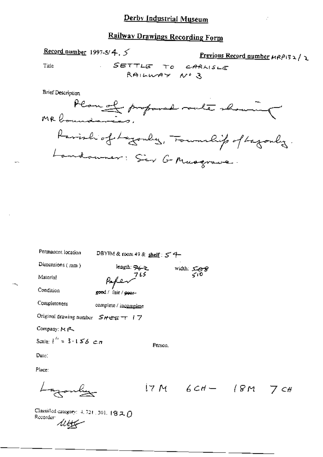Record number 1997-5/4,  $5$ 

Previous Record number HRP132/2

Title

**Brief Description** 

Plan of proposal route showing Parish of Lagonley, Township of Lagonley. Landouner : Sier G Musgrave.

| Permanent location               | DBYIM & room 49 & shelf: $5^{\circ}$ 9- |                                                                                                                                     |                        |  |
|----------------------------------|-----------------------------------------|-------------------------------------------------------------------------------------------------------------------------------------|------------------------|--|
| Dimensions (mm)                  | length. Re-2                            |                                                                                                                                     |                        |  |
| Material                         | Paper <sup>765</sup>                    |                                                                                                                                     | width: $5.68$<br>$510$ |  |
| Condition                        | good / fair / 9991-                     |                                                                                                                                     |                        |  |
| Completeness                     | complete / incomplete                   |                                                                                                                                     |                        |  |
| Original drawing number SHEET 17 |                                         |                                                                                                                                     |                        |  |
| Company: M R                     |                                         |                                                                                                                                     |                        |  |
| Scale: $I'' = 3.156$ cm          |                                         | Person.                                                                                                                             |                        |  |
| Date:                            |                                         |                                                                                                                                     |                        |  |
| Place:                           |                                         |                                                                                                                                     |                        |  |
|                                  |                                         | $\mathbf{1}$ and $\mathbf{1}$ and $\mathbf{1}$ and $\mathbf{1}$ and $\mathbf{1}$ and $\mathbf{1}$ and $\mathbf{1}$ and $\mathbf{1}$ |                        |  |

 $17M$  6CH - 18M 7CH

Classified category:  $4, 721, 301, 1820$ Clines...<br>Recorder  $\mathcal{U}\downarrow\downarrow\downarrow\downarrow\downarrow\downarrow\downarrow\downarrow$